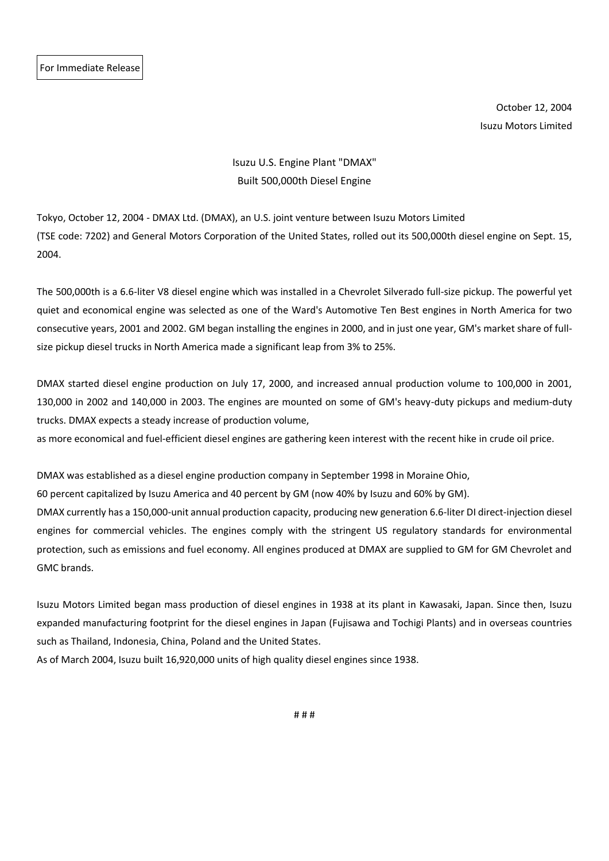GMC brands.

October 12, 2004 Isuzu Motors Limited

## Isuzu U.S. Engine Plant "DMAX" Built 500,000th Diesel Engine

Tokyo, October 12, 2004 - DMAX Ltd. (DMAX), an U.S. joint venture between Isuzu Motors Limited (TSE code: 7202) and General Motors Corporation of the United States, rolled out its 500,000th diesel engine on Sept. 15, 2004.

The 500,000th is a 6.6-liter V8 diesel engine which was installed in a Chevrolet Silverado full-size pickup. The powerful yet quiet and economical engine was selected as one of the Ward's Automotive Ten Best engines in North America for two consecutive years, 2001 and 2002. GM began installing the engines in 2000, and in just one year, GM's market share of fullsize pickup diesel trucks in North America made a significant leap from 3% to 25%.

DMAX started diesel engine production on July 17, 2000, and increased annual production volume to 100,000 in 2001, 130,000 in 2002 and 140,000 in 2003. The engines are mounted on some of GM's heavy-duty pickups and medium-duty trucks. DMAX expects a steady increase of production volume,

as more economical and fuel-efficient diesel engines are gathering keen interest with the recent hike in crude oil price.

DMAX was established as a diesel engine production company in September 1998 in Moraine Ohio, 60 percent capitalized by Isuzu America and 40 percent by GM (now 40% by Isuzu and 60% by GM). DMAX currently has a 150,000-unit annual production capacity, producing new generation 6.6-liter DI direct-injection diesel engines for commercial vehicles. The engines comply with the stringent US regulatory standards for environmental protection, such as emissions and fuel economy. All engines produced at DMAX are supplied to GM for GM Chevrolet and

Isuzu Motors Limited began mass production of diesel engines in 1938 at its plant in Kawasaki, Japan. Since then, Isuzu expanded manufacturing footprint for the diesel engines in Japan (Fujisawa and Tochigi Plants) and in overseas countries such as Thailand, Indonesia, China, Poland and the United States.

As of March 2004, Isuzu built 16,920,000 units of high quality diesel engines since 1938.

# # #